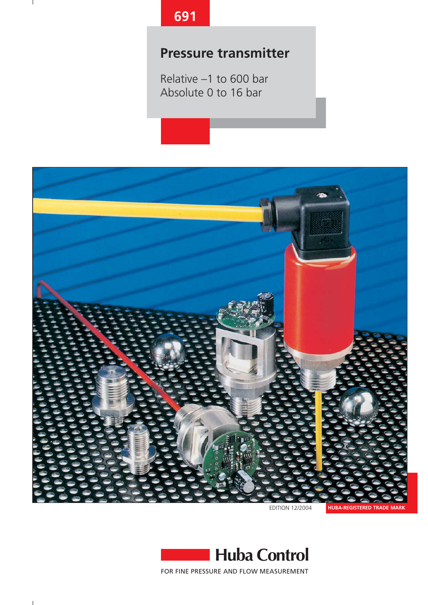# **691**

# **Pressure transmitter**

Relative –1 to 600 bar Absolute 0 to 16 bar



EDITION 12/2004

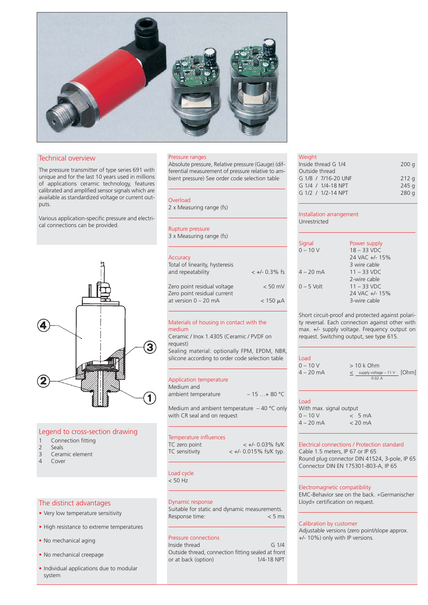

# Technical overview

The pressure transmitter of type series 691 with unique and for the last 10 years used in millions of applications ceramic technology, features calibrated and amplified sensor signals which are available as standardized voltage or current outputs.

Various application-specific pressure and electrical connections can be provided.



# Legend to cross-section drawing

- 1 Connection fitting
- 2 Seals<br>3 Cerar
- Ceramic element
- 4 Cover

# The distinct advantages

- Very low temperature sensitivity
- High resistance to extreme temperatures
- No mechanical aging
- No mechanical creepage
- Individual applications due to modular system

## Pressure ranges

Absolute pressure, Relative pressure (Gauge) (differential measurement of pressure relative to ambient pressure) See order code selection table

### Overload

2 x Measuring range (fs)

### Rupture pressure

3 x Measuring range (fs)

# **Accuracy**

| Total of linearity, hysteresis<br>and repeatability        | $< +/- 0.3\%$ fs |
|------------------------------------------------------------|------------------|
| Zero point residual voltage<br>Zero point residual current | $< 50$ mV        |
| at version 0 - 20 mA                                       | $<$ 150 $\mu$ A  |

# Materials of housing in contact with the medium

Ceramic / Inox 1.4305 (Ceramic / PVDF on request)

Sealing material: optionally FPM, EPDM, NBR, silicone according to order code selection table

### Application temperature

| Medium and                                   |             |
|----------------------------------------------|-------------|
| ambient temperature                          | $-15+80$ °C |
| Medium and ambient temperature $-40$ °C only |             |

with CR seal and on request

# Temperature influences

| TC zero point  | $< +/- 0.03\%$ fs/K       |
|----------------|---------------------------|
| TC sensitivity | $< +/- 0.015\%$ fs/K typ. |

Load cycle  $< 50$  Hz

# Dynamic response

Suitable for static and dynamic measurements.<br>Response time:  $<$  5 ms Response time:

# Pressure connections

Inside thread G 1/4 Outside thread, connection fitting sealed at front or at back (option)

## Weight

| <b>VVCIVIIL</b>     |                  |
|---------------------|------------------|
| Inside thread G 1/4 | 200q             |
| Outside thread      |                  |
| G 1/8 / 7/16-20 UNF | 212q             |
| G 1/4 / 1/4-18 NPT  | 245q             |
| G 1/2 / 1/2-14 NPT  | 280 <sub>a</sub> |
|                     |                  |

### Installation arrangement Unrestricted

| Signal       | Power supply   |
|--------------|----------------|
| $0 - 10 V$   | $18 - 33$ VDC  |
|              | 24 VAC +/- 15% |
|              | 3 wire cable   |
| $4 - 20$ mA  | $11 - 33$ VDC  |
|              | 2-wire cable   |
| $0 - 5$ Volt | $11 - 33$ VDC  |
|              | 24 VAC +/- 15% |
|              | 3-wire cable   |

Short circuit-proof and protected against polarity reversal. Each connection against other with max. +/- supply voltage. Frequency output on request. Switching output, see type 615.

# Load<br> $0 - 1$

| .           |                                      |  |
|-------------|--------------------------------------|--|
| $0 - 10 V$  | $>10k$ Ohm                           |  |
| $4 - 20$ mA | $\leq$ supply voltage – 11 V $[Ohm]$ |  |
|             | 0.02A                                |  |

### Load

| With max. signal output |  |                   |
|-------------------------|--|-------------------|
| $0 - 10 V$              |  | < 5mA             |
| $4 - 20$ mA             |  | $< 20 \text{ mA}$ |

# Electrical connections / Protection standard

Cable 1.5 meters, IP 67 or IP 65 Round plug connector DIN 41524, 3-pole, IP 65 Connector DIN EN 175301-803-A, IP 65

### Electromagnetic compatibility

EMC-Behavior see on the back. «Germanischer Lloyd» certification on request.

## Calibration by customer

Adjustable versions (zero point/slope approx. +/- 10%) only with IP versions.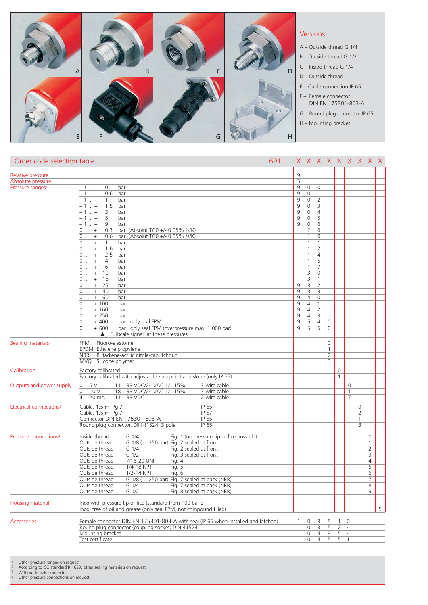

| Order code selection table          | 691.                                                                                                |                | x x x x x x x x x       |                |                |                |                |                |                |   |
|-------------------------------------|-----------------------------------------------------------------------------------------------------|----------------|-------------------------|----------------|----------------|----------------|----------------|----------------|----------------|---|
| Relative pressure                   |                                                                                                     | 9              |                         |                |                |                |                |                |                |   |
| Absolute pressure                   |                                                                                                     | 5              |                         |                |                |                |                |                |                |   |
| Pressure ranges <sup>1</sup>        | $-1+$<br>0<br>bar                                                                                   | 9              | $\mathbf 0$             | 0              |                |                |                |                |                |   |
|                                     | $-1 +$<br>0.6<br>bar                                                                                | 9              | $\mathsf{O}\xspace$     | $\mathbf{1}$   |                |                |                |                |                |   |
|                                     | $-1 +$<br>$\mathbf{1}$<br>bar                                                                       | 9              | $\mathbf{0}$            | $\overline{2}$ |                |                |                |                |                |   |
|                                     | 1.5<br>$-1+$<br>bar                                                                                 | 9              | $\mathsf{O}\xspace$     | $\overline{3}$ |                |                |                |                |                |   |
|                                     | 3<br>$-1+$<br>bar                                                                                   | 9              | $\mathbf 0$             | $\overline{4}$ |                |                |                |                |                |   |
|                                     | 5<br>$-1 +$<br>bar                                                                                  | 9              | $\mathsf{O}\xspace$     | 5              |                |                |                |                |                |   |
|                                     | 9<br>$-1 +$<br>bar                                                                                  | 9              | $\mathsf{O}\xspace$     | 6              |                |                |                |                |                |   |
|                                     | $0 +$<br>0.3<br>bar (Absolut TCO $+/-$ 0.05% fs/K)                                                  |                | $\overline{2}$          | 6              |                |                |                |                |                |   |
|                                     | bar (Absolut TCO $+/-$ 0.05% fs/K)<br>$0$ +<br>0.6                                                  |                | $\mathbf{1}$            | $\mathbf 0$    |                |                |                |                |                |   |
|                                     | $0 +$<br>$\mathbf{1}$<br>bar                                                                        |                | $\mathbf{1}$            | $\mathbf{1}$   |                |                |                |                |                |   |
|                                     | 1.6<br>$0$ +<br>bar                                                                                 |                | $\mathbf{1}$            | $\overline{2}$ |                |                |                |                |                |   |
|                                     | $0 +$<br>2.5<br>bar                                                                                 |                | $\mathbf{1}$            | $\overline{4}$ |                |                |                |                |                |   |
|                                     | $0 +$<br>$\overline{4}$<br>bar                                                                      |                | $\mathbf{1}$            | 5              |                |                |                |                |                |   |
|                                     | $0$ +<br>6<br>bar                                                                                   |                | $\mathbf{1}$            | $\overline{7}$ |                |                |                |                |                |   |
|                                     | $0 +$<br>10<br>bar                                                                                  |                | 3                       | $\mathbf 0$    |                |                |                |                |                |   |
|                                     | $0 +$<br>16<br>bar                                                                                  |                | $\overline{\mathbf{3}}$ | 1              |                |                |                |                |                |   |
|                                     | $0$ +<br>25<br>bar                                                                                  | 9              | $\overline{3}$          | $\overline{2}$ |                |                |                |                |                |   |
|                                     | $0$ +<br>40<br>bar                                                                                  | 9              | 3                       | 3              |                |                |                |                |                |   |
|                                     | 60<br>$0$ +<br>bar                                                                                  | 9              | $\overline{4}$          | 0              |                |                |                |                |                |   |
|                                     | $0 + 100$<br>bar                                                                                    | 9              | $\overline{4}$          | $\mathbf{1}$   |                |                |                |                |                |   |
|                                     | $0 + 160$<br>bar                                                                                    | $\overline{9}$ | $\overline{4}$          | $\overline{2}$ |                |                |                |                |                |   |
|                                     | $0 + 250$<br>bar                                                                                    | $\overline{9}$ | $\overline{4}$          | 3              |                |                |                |                |                |   |
|                                     | $0 + 400$<br>bar only seal FPM                                                                      | 9<br>9         | 5<br>5                  | $\overline{4}$ | 0              |                |                |                |                |   |
|                                     | bar only seal FPM (overpressure max. 1 000 bar)<br>$0 + 600$<br>Fullscale signal at these pressures |                |                         | 5              | 0              |                |                |                |                |   |
| Sealing materials <sup>2</sup>      | Fluoro-elastomer<br><b>FPM</b>                                                                      |                |                         |                | 0              |                |                |                |                |   |
|                                     | EPDM Ethylene propylene                                                                             |                |                         |                | $\mathbf{1}$   |                |                |                |                |   |
|                                     | Butadiene-acrilic nitrile-caoutchouc<br>NBR                                                         |                |                         |                | $\overline{2}$ |                |                |                |                |   |
|                                     | MVQ Silicone polymer                                                                                |                |                         |                | 3              |                |                |                |                |   |
| Calibration                         | Factory calibrated                                                                                  |                |                         |                |                | $\mathbf 0$    |                |                |                |   |
|                                     | Factory calibrated with adjustable zero point and slope (only IP 65)                                |                |                         |                |                | $\mathbf{1}$   |                |                |                |   |
|                                     | $0 - 5V$                                                                                            |                |                         |                |                |                | $\mathbf 0$    |                |                |   |
| Outputs and power supply            | 11 - 33 VDC/24 VAC +/-15%<br>3-wire cable<br>$0 - 10V$<br>18 - 33 VDC/24 VAC +/-15%<br>3-wire cable |                |                         |                |                |                | 1              |                |                |   |
|                                     | $4 - 20$ mA<br>11-33 VDC<br>2-wire cable                                                            |                |                         |                |                |                | $\overline{7}$ |                |                |   |
|                                     |                                                                                                     |                |                         |                |                |                |                |                |                |   |
| Electrical connections <sup>3</sup> | IP 65<br>Cable, 1.5 m, Pg 7                                                                         |                |                         |                |                |                |                | $\mathbf 0$    |                |   |
|                                     | IP 67<br>Cable, 1.5 m, Pg 7                                                                         |                |                         |                |                |                |                | $\overline{2}$ |                |   |
|                                     | Connector DIN EN 175301-803-A<br>IP 65                                                              |                |                         |                |                |                |                | 1              |                |   |
|                                     | IP 65<br>Round plug connector, DIN 41524, 3 pole                                                    |                |                         |                |                |                |                | 3              |                |   |
| Pressure connections <sup>4</sup>   | Inside thread<br>Fig. 1 (no pressure tip orifice possible)<br>G 1/4                                 |                |                         |                |                |                |                |                | 0              |   |
|                                     | G 1/8 ( 250 bar) Fig. 2 sealed at front<br>Outside thread                                           |                |                         |                |                |                |                |                | $\mathbf{1}$   |   |
|                                     | G 1/4<br>Fig. 2 sealed at front<br>Outside thread                                                   |                |                         |                |                |                |                |                | $\overline{2}$ |   |
|                                     | $G$ 1/2<br>Fig. 3 sealed at front<br>Outside thread                                                 |                |                         |                |                |                |                |                | 3              |   |
|                                     | 7/16-20 UNF<br>Fig. $4$<br>Outside thread                                                           |                |                         |                |                |                |                |                | 4              |   |
|                                     | Fig. 5<br>Outside thread<br>1/4-18 NPT                                                              |                |                         |                |                |                |                |                | 5              |   |
|                                     | Outside thread<br>1/2-14 NPT<br>Fig. 6                                                              |                |                         |                |                |                |                |                | 6              |   |
|                                     | Outside thread<br>G 1/8 ( 250 bar) Fig. 7 sealed at back (NBR)                                      |                |                         |                |                |                |                |                | 7              |   |
|                                     | Outside thread<br>G 1/4<br>Fig. 7 sealed at back (NBR)                                              |                |                         |                |                |                |                |                | 8              |   |
|                                     | $G$ 1/2<br>Outside thread<br>Fig. 8 sealed at back (NBR)                                            |                |                         |                |                |                |                |                | 9              |   |
|                                     |                                                                                                     |                |                         |                |                |                |                |                |                |   |
| Housing material                    | Inox with pressure tip orifice (standard from 100 bar)3                                             |                |                         |                |                |                |                |                |                |   |
|                                     | Inox, free of oil and grease (only seal FPM, not compound filled)                                   |                |                         |                |                |                |                |                |                | 5 |
| <b>Accessories</b>                  | Female connector DIN EN 175301-803-A with seal (IP 65 when installed and latched)                   |                | 0                       | 3              | 5              | 1              | $\Omega$       |                |                |   |
|                                     | Round plug connector (coupling socket) DIN 41524                                                    | 1              | 0                       | 3              | 5              | $\overline{2}$ | $\overline{4}$ |                |                |   |
|                                     | Mounting bracket                                                                                    | 1              | $\mathbf 0$             | $\overline{4}$ | 9              | 5              | $\overline{4}$ |                |                |   |
|                                     | Test certificate                                                                                    | 1              | $\Omega$                | $\overline{4}$ | 5              | 5              | $\mathbf{1}$   |                |                |   |

1 Other pressure ranges on request<br>2 According to ISO standard R 1629, other sealing materials on request<br>3 Without female connector<br>4 Other pressure connections on request